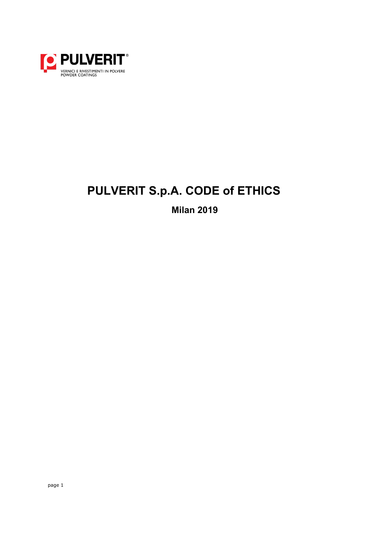

# **PULVERIT S.p.A. CODE of ETHICS**

**Milan 2019**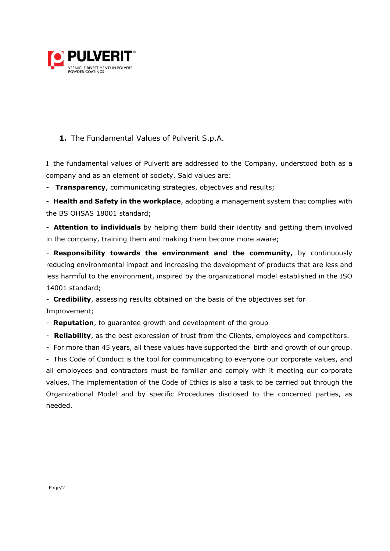

#### **1.** The Fundamental Values of Pulverit S.p.A.

I the fundamental values of Pulverit are addressed to the Company, understood both as a company and as an element of society. Said values are:

- **Transparency**, communicating strategies, objectives and results;

- **Health and Safety in the workplace**, adopting a management system that complies with the BS OHSAS 18001 standard;

- **Attention to individuals** by helping them build their identity and getting them involved in the company, training them and making them become more aware;

- **Responsibility towards the environment and the community,** by continuously reducing environmental impact and increasing the development of products that are less and less harmful to the environment, inspired by the organizational model established in the ISO 14001 standard;

- **Credibility**, assessing results obtained on the basis of the objectives set for Improvement;

- **Reputation**, to guarantee growth and development of the group

- **Reliability**, as the best expression of trust from the Clients, employees and competitors.

- For more than 45 years, all these values have supported the birth and growth of our group.

- This Code of Conduct is the tool for communicating to everyone our corporate values, and all employees and contractors must be familiar and comply with it meeting our corporate values. The implementation of the Code of Ethics is also a task to be carried out through the Organizational Model and by specific Procedures disclosed to the concerned parties, as needed.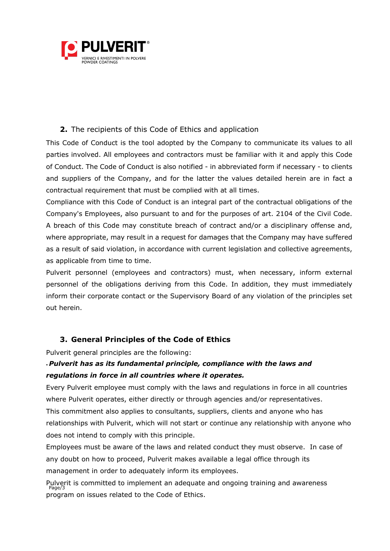

#### **2.** The recipients of this Code of Ethics and application

This Code of Conduct is the tool adopted by the Company to communicate its values to all parties involved. All employees and contractors must be familiar with it and apply this Code of Conduct. The Code of Conduct is also notified - in abbreviated form if necessary - to clients and suppliers of the Company, and for the latter the values detailed herein are in fact a contractual requirement that must be complied with at all times.

Compliance with this Code of Conduct is an integral part of the contractual obligations of the Company's Employees, also pursuant to and for the purposes of art. 2104 of the Civil Code. A breach of this Code may constitute breach of contract and/or a disciplinary offense and, where appropriate, may result in a request for damages that the Company may have suffered as a result of said violation, in accordance with current legislation and collective agreements, as applicable from time to time.

Pulverit personnel (employees and contractors) must, when necessary, inform external personnel of the obligations deriving from this Code. In addition, they must immediately inform their corporate contact or the Supervisory Board of any violation of the principles set out herein.

## **3. General Principles of the Code of Ethics**

Pulverit general principles are the following:

## • *Pulverit has as its fundamental principle, compliance with the laws and regulations in force in all countries where it operates.*

Every Pulverit employee must comply with the laws and regulations in force in all countries where Pulverit operates, either directly or through agencies and/or representatives. This commitment also applies to consultants, suppliers, clients and anyone who has relationships with Pulverit, which will not start or continue any relationship with anyone who does not intend to comply with this principle.

Employees must be aware of the laws and related conduct they must observe. In case of any doubt on how to proceed, Pulverit makes available a legal office through its management in order to adequately inform its employees.

Pulverit is committed to implement an adequate and ongoing training and awareness Page/3 program on issues related to the Code of Ethics.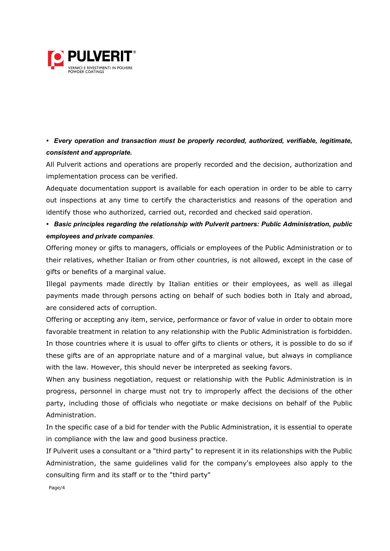

*• Every operation and transaction must be properly recorded, authorized, verifiable, legitimate, consistent and appropriate.*

All Pulverit actions and operations are properly recorded and the decision, authorization and implementation process can be verified.

Adequate documentation support is available for each operation in order to be able to carry out inspections at any time to certify the characteristics and reasons of the operation and identify those who authorized, carried out, recorded and checked said operation.

*• Basic principles regarding the relationship with Pulverit partners: Public Administration, public employees and private companies*.

Offering money or gifts to managers, officials or employees of the Public Administration or to their relatives, whether Italian or from other countries, is not allowed, except in the case of gifts or benefits of a marginal value.

Illegal payments made directly by Italian entities or their employees, as well as illegal payments made through persons acting on behalf of such bodies both in Italy and abroad, are considered acts of corruption.

Offering or accepting any item, service, performance or favor of value in order to obtain more favorable treatment in relation to any relationship with the Public Administration is forbidden. In those countries where it is usual to offer gifts to clients or others, it is possible to do so if these gifts are of an appropriate nature and of a marginal value, but always in compliance with the law. However, this should never be interpreted as seeking favors.

When any business negotiation, request or relationship with the Public Administration is in progress, personnel in charge must not try to improperly affect the decisions of the other party, including those of officials who negotiate or make decisions on behalf of the Public Administration.

In the specific case of a bid for tender with the Public Administration, it is essential to operate in compliance with the law and good business practice.

If Pulverit uses a consultant or a "third party" to represent it in its relationships with the Public Administration, the same guidelines valid for the company's employees also apply to the consulting firm and its staff or to the "third party"

Page/4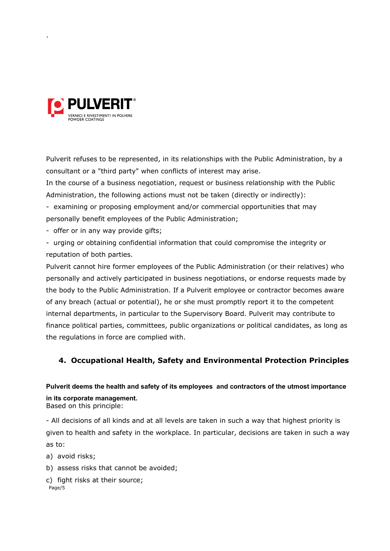

.

Pulverit refuses to be represented, in its relationships with the Public Administration, by a consultant or a "third party" when conflicts of interest may arise.

In the course of a business negotiation, request or business relationship with the Public Administration, the following actions must not be taken (directly or indirectly):

- examining or proposing employment and/or commercial opportunities that may personally benefit employees of the Public Administration;

- offer or in any way provide gifts;

- urging or obtaining confidential information that could compromise the integrity or reputation of both parties.

Pulverit cannot hire former employees of the Public Administration (or their relatives) who personally and actively participated in business negotiations, or endorse requests made by the body to the Public Administration. If a Pulverit employee or contractor becomes aware of any breach (actual or potential), he or she must promptly report it to the competent internal departments, in particular to the Supervisory Board. Pulverit may contribute to finance political parties, committees, public organizations or political candidates, as long as the regulations in force are complied with.

## **4. Occupational Health, Safety and Environmental Protection Principles**

## **Pulverit deems the health and safety of its employees and contractors of the utmost importance in its corporate management.**

Based on this principle:

- All decisions of all kinds and at all levels are taken in such a way that highest priority is given to health and safety in the workplace. In particular, decisions are taken in such a way as to:

a) avoid risks;

b) assess risks that cannot be avoided;

```
Page/5
c) fight risks at their source;
```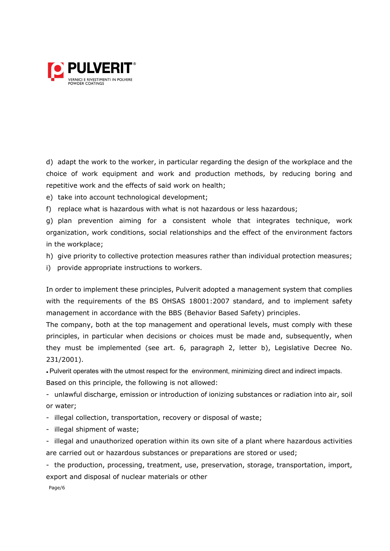

d) adapt the work to the worker, in particular regarding the design of the workplace and the choice of work equipment and work and production methods, by reducing boring and repetitive work and the effects of said work on health;

e) take into account technological development;

f) replace what is hazardous with what is not hazardous or less hazardous;

g) plan prevention aiming for a consistent whole that integrates technique, work organization, work conditions, social relationships and the effect of the environment factors in the workplace;

- h) give priority to collective protection measures rather than individual protection measures;
- i) provide appropriate instructions to workers.

In order to implement these principles, Pulverit adopted a management system that complies with the requirements of the BS OHSAS 18001:2007 standard, and to implement safety management in accordance with the BBS (Behavior Based Safety) principles.

The company, both at the top management and operational levels, must comply with these principles, in particular when decisions or choices must be made and, subsequently, when they must be implemented (see art. 6, paragraph 2, letter b), Legislative Decree No. 231/2001).

*•* Pulverit operates with the utmost respect for the environment, minimizing direct and indirect impacts.

Based on this principle, the following is not allowed:

- unlawful discharge, emission or introduction of ionizing substances or radiation into air, soil or water;

- illegal collection, transportation, recovery or disposal of waste;
- illegal shipment of waste;

- illegal and unauthorized operation within its own site of a plant where hazardous activities are carried out or hazardous substances or preparations are stored or used;

- the production, processing, treatment, use, preservation, storage, transportation, import, export and disposal of nuclear materials or other

Page/6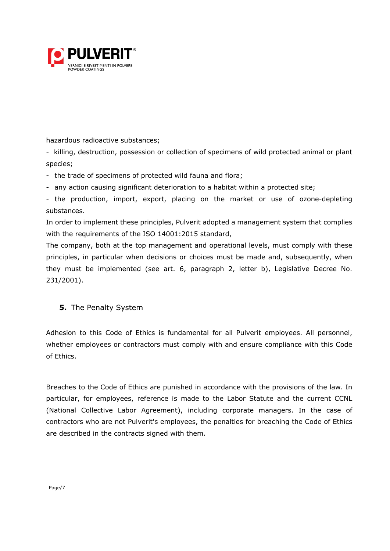

hazardous radioactive substances;

- killing, destruction, possession or collection of specimens of wild protected animal or plant species;

- the trade of specimens of protected wild fauna and flora;
- any action causing significant deterioration to a habitat within a protected site;

- the production, import, export, placing on the market or use of ozone-depleting substances.

In order to implement these principles, Pulverit adopted a management system that complies with the requirements of the ISO 14001:2015 standard,

The company, both at the top management and operational levels, must comply with these principles, in particular when decisions or choices must be made and, subsequently, when they must be implemented (see art. 6, paragraph 2, letter b), Legislative Decree No. 231/2001).

#### **5.** The Penalty System

Adhesion to this Code of Ethics is fundamental for all Pulverit employees. All personnel, whether employees or contractors must comply with and ensure compliance with this Code of Ethics.

Breaches to the Code of Ethics are punished in accordance with the provisions of the law. In particular, for employees, reference is made to the Labor Statute and the current CCNL (National Collective Labor Agreement), including corporate managers. In the case of contractors who are not Pulverit's employees, the penalties for breaching the Code of Ethics are described in the contracts signed with them.